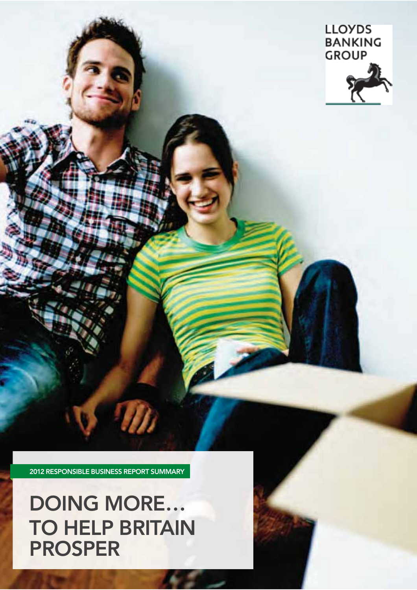# **DOING MORE… TO HELP BRITAIN PROSPER**

**2012 RESPONSIBLE BUSINESS REPORT SUMMARY**

 $\eta$ 



Responsible Business report summary 2012 A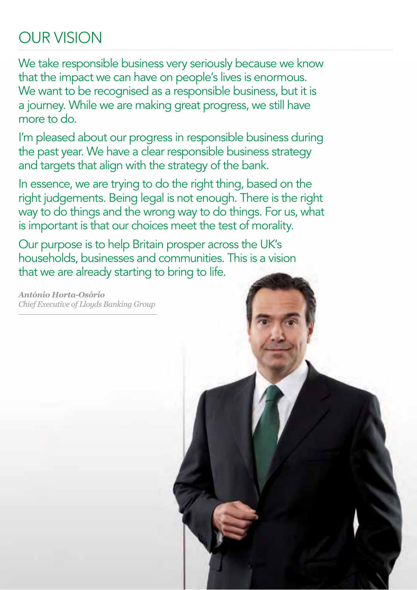# OUR VISION

We take responsible business very seriously because we know that the impact we can have on people's lives is enormous. We want to be recognised as a responsible business, but it is a journey. While we are making great progress, we still have more to do.

I'm pleased about our progress in responsible business during the past year. We have a clear responsible business strategy and targets that align with the strategy of the bank.

In essence, we are trying to do the right thing, based on the right judgements. Being legal is not enough. There is the right way to do things and the wrong way to do things. For us, what is important is that our choices meet the test of morality.

Our purpose is to help Britain prosper across the UK's households, businesses and communities. This is a vision that we are already starting to bring to life.

*António Horta-Osório Chief Executive of Lloyds Banking Group*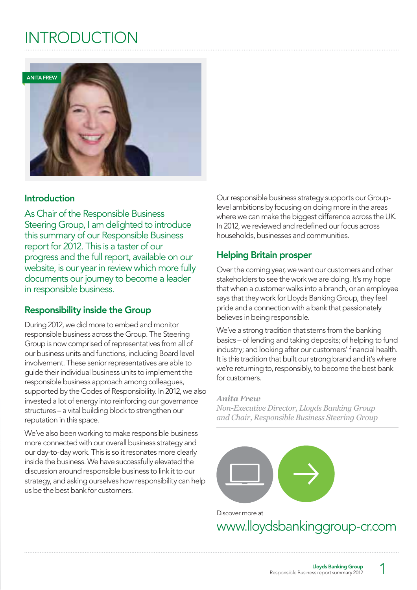# **INTRODUCTION**



### **Introduction**

As Chair of the Responsible Business Steering Group, I am delighted to introduce this summary of our Responsible Business report for 2012. This is a taster of our progress and the full report, available on our website, is our year in review which more fully documents our journey to become a leader in responsible business.

## **Responsibility inside the Group**

During 2012, we did more to embed and monitor responsible business across the Group. The Steering Group is now comprised of representatives from all of our business units and functions, including Board level involvement. These senior representatives are able to guide their individual business units to implement the responsible business approach among colleagues, supported by the Codes of Responsibility. In 2012, we also invested a lot of energy into reinforcing our governance structures – a vital building block to strengthen our reputation in this space.

We've also been working to make responsible business more connected with our overall business strategy and our day-to-day work. This is so it resonates more clearly inside the business. We have successfully elevated the discussion around responsible business to link it to our strategy, and asking ourselves how responsibility can help us be the best bank for customers.

Our responsible business strategy supports our Grouplevel ambitions by focusing on doing more in the areas where we can make the biggest difference across the UK. In 2012, we reviewed and redefined our focus across households, businesses and communities.

## **Helping Britain prosper**

Over the coming year, we want our customers and other stakeholders to see the work we are doing. It's my hope that when a customer walks into a branch, or an employee says that they work for Lloyds Banking Group, they feel pride and a connection with a bank that passionately believes in being responsible.

We've a strong tradition that stems from the banking basics – of lending and taking deposits; of helping to fund industry; and looking after our customers' financial health. It is this tradition that built our strong brand and it's where we're returning to, responsibly, to become the best bank for customers.

#### *Anita Frew*

*Non-Executive Director, Lloyds Banking Group and Chair, Responsible Business Steering Group*



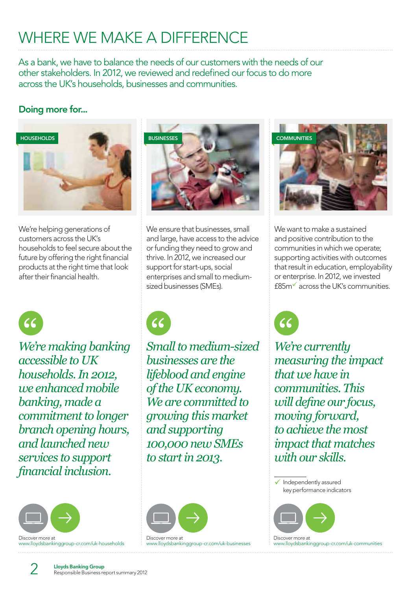# WHERE WE MAKE A DIFFERENCE

As a bank, we have to balance the needs of our customers with the needs of our other stakeholders. In 2012, we reviewed and redefined our focus to do more across the UK's households, businesses and communities.

# **Doing more for...**



We're helping generations of customers across the UK's households to feel secure about the future by offering the right financial products at the right time that look after their financial health.



We ensure that businesses, small and large, have access to the advice or funding they need to grow and thrive. In 2012, we increased our support for start-ups, social enterprises and small to mediumsized businesses (SMEs).



*We're making banking accessible to UK households. In 2012, we enhanced mobile banking, made a commitment to longer branch opening hours, and launched new services to support -* 



www.lloydsbankinggroup-cr.com/uk-households



*Small to medium-sized businesses are the lifeblood and engine of the UK economy. We are committed to growing this market and supporting 100,000 new SMEs to start in 2013.*



www.lloydsbankinggroup-cr.com/uk-businesses



We want to make a sustained and positive contribution to the communities in which we operate; supporting activities with outcomes that result in education, employability or enterprise. In 2012, we invested £85m- across the UK's communities.



*We're currently measuring the impact that we have in communities. This will define our focus, moving forward, to achieve the most impact that matches with our skills.*



◆ Independently assured

Discover more at www.lloydsbankinggroup-cr.com/uk-communities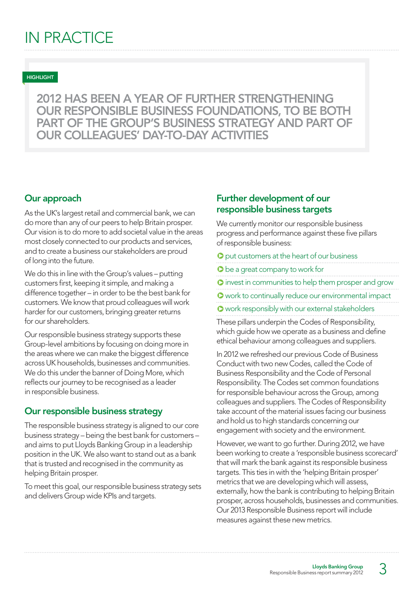**2012 HAS BEEN A YEAR OF FURTHER STRENGTHENING OUR RESPONSIBLE BUSINESS FOUNDATIONS, TO BE BOTH PART OF THE GROUP'S BUSINESS STRATEGY AND PART OF OUR COLLEAGUES' DAY-TO-DAY ACTIVITIES**

#### **Our approach**

As the UK's largest retail and commercial bank, we can do more than any of our peers to help Britain prosper. Our vision is to do more to add societal value in the areas most closely connected to our products and services, and to create a business our stakeholders are proud of long into the future.

We do this in line with the Group's values – putting customers first, keeping it simple, and making a difference together – in order to be the best bank for customers. We know that proud colleagues will work harder for our customers, bringing greater returns for our shareholders.

Our responsible business strategy supports these Group-level ambitions by focusing on doing more in the areas where we can make the biggest difference across UK households, businesses and communities. We do this under the banner of Doing More, which reflects our journey to be recognised as a leader in responsible business.

### **Our responsible business strategy**

The responsible business strategy is aligned to our core business strategy – being the best bank for customers – and aims to put Lloyds Banking Group in a leadership position in the UK. We also want to stand out as a bank that is trusted and recognised in the community as helping Britain prosper.

To meet this goal, our responsible business strategy sets and delivers Group wide KPIs and targets.

## **Further development of our responsible business targets**

We currently monitor our responsible business progress and performance against these five pillars of responsible business:

- $\bullet$  put customers at the heart of our business
- $\bullet$  be a great company to work for
- $\bullet$  invest in communities to help them prosper and grow
- $\bullet$  work to continually reduce our environmental impact
- **O** work responsibly with our external stakeholders

These pillars underpin the Codes of Responsibility, which guide how we operate as a business and define ethical behaviour among colleagues and suppliers.

In 2012 we refreshed our previous Code of Business Conduct with two new Codes, called the Code of Business Responsibility and the Code of Personal Responsibility. The Codes set common foundations for responsible behaviour across the Group, among colleagues and suppliers. The Codes of Responsibility take account of the material issues facing our business and hold us to high standards concerning our engagement with society and the environment.

However, we want to go further. During 2012, we have been working to create a 'responsible business scorecard' that will mark the bank against its responsible business targets. This ties in with the 'helping Britain prosper' metrics that we are developing which will assess, externally, how the bank is contributing to helping Britain prosper, across households, businesses and communities. Our 2013 Responsible Business report will include measures against these new metrics.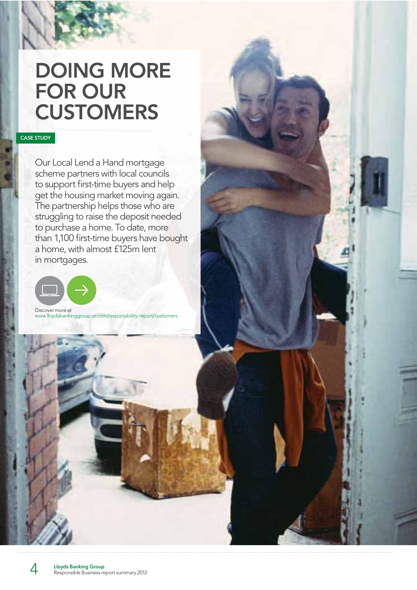# **DOING MORE FOR OUR CUSTOMERS**

#### **CASE STUDY**

HEADING

Our Local Lend a Hand mortgage scheme partners with local councils to support first-time buyers and help get the housing market moving again. The partnership helps those who are struggling to raise the deposit needed to purchase a home. To date, more than 1,100 first-time buyers have bought a home, with almost £125m lent in mortgages.



Discover more at www.lloydsbankinggroup-cr.com/responsibility-report/customers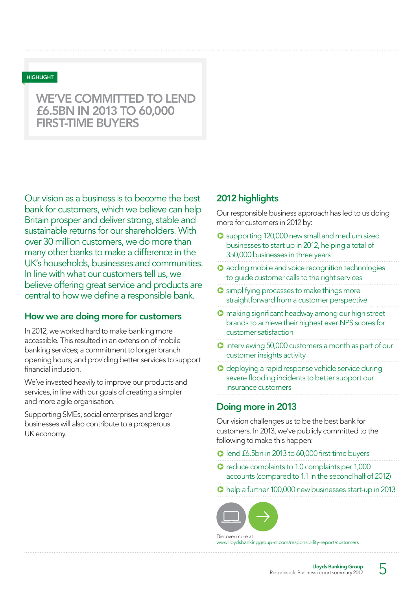# **WE'VE COMMITTED TO LEND £6.5BN IN 2013 TO 60,000 FIRST-TIME BUYERS**

Our vision as a business is to become the best bank for customers, which we believe can help Britain prosper and deliver strong, stable and sustainable returns for our shareholders. With over 30 million customers, we do more than many other banks to make a difference in the UK's households, businesses and communities. In line with what our customers tell us, we believe offering great service and products are central to how we define a responsible bank.

### **How we are doing more for customers**

In 2012, we worked hard to make banking more accessible. This resulted in an extension of mobile banking services; a commitment to longer branch opening hours; and providing better services to support financial inclusion.

We've invested heavily to improve our products and services, in line with our goals of creating a simpler and more agile organisation.

Supporting SMEs, social enterprises and larger businesses will also contribute to a prosperous UK economy.

### **2012 highlights**

Our responsible business approach has led to us doing more for customers in 2012 by:

- **O** supporting 120,000 new small and medium sized businesses to start up in 2012, helping a total of 350,000 businesses in three years
- **Q** adding mobile and voice recognition technologies to guide customer calls to the right services
- **O** simplifying processes to make things more straightforward from a customer perspective
- **O** making significant headway among our high street brands to achieve their highest ever NPS scores for customer satisfaction
- **D** interviewing 50,000 customers a month as part of our customer insights activity
- **O** deploying a rapid response vehicle service during severe flooding incidents to better support our insurance customers

#### **Doing more in 2013**

Our vision challenges us to be the best bank for customers. In 2013, we've publicly committed to the following to make this happen:

q lend £6.5bn in 2013 to 60,000 first-time buyers

**C** reduce complaints to 1.0 complaints per 1,000 accounts (compared to 1.1 in the second half of 2012)

**D** help a further 100,000 new businesses start-up in 2013



Discover more at www.lloydsbankinggroup-cr.com/responsibility-report/custor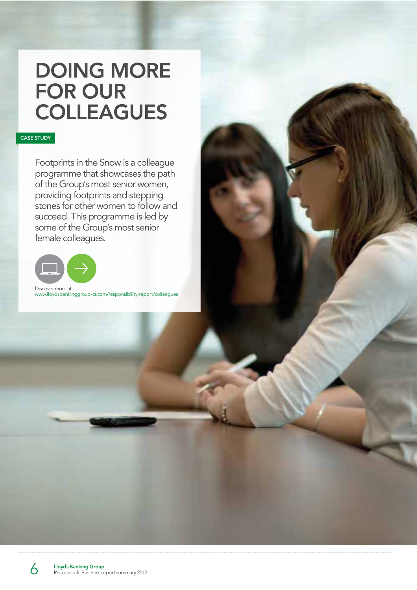# **DOING MORE FOR OUR COLLEAGUES**

#### **CASE STUDY**

Footprints in the Snow is a colleague programme that showcases the path of the Group's most senior women, providing footprints and stepping stones for other women to follow and succeed. This programme is led by some of the Group's most senior female colleagues.



www.lloydsbankinggroup-cr.com/responsibility-report/colleagues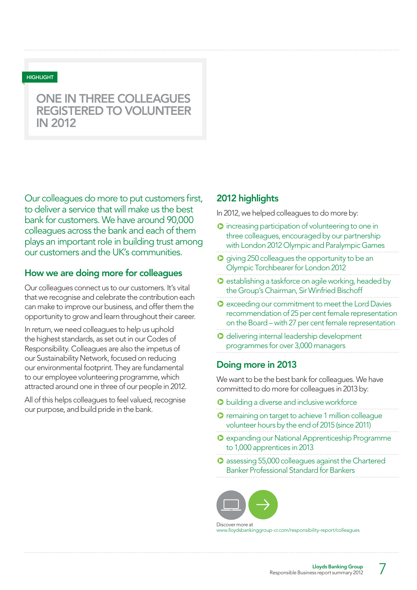# **ONE IN THREE COLLEAGUES REGISTERED TO VOLUNTEER IN 2012**

Our colleagues do more to put customers first, to deliver a service that will make us the best bank for customers. We have around 90,000 colleagues across the bank and each of them plays an important role in building trust among our customers and the UK's communities.

### **How we are doing more for colleagues**

Our colleagues connect us to our customers. It's vital that we recognise and celebrate the contribution each can make to improve our business, and offer them the opportunity to grow and learn throughout their career.

In return, we need colleagues to help us uphold the highest standards, as set out in our Codes of Responsibility. Colleagues are also the impetus of our Sustainability Network, focused on reducing our environmental footprint. They are fundamental to our employee volunteering programme, which attracted around one in three of our people in 2012.

All of this helps colleagues to feel valued, recognise our purpose, and build pride in the bank.

### **2012 highlights**

In 2012, we helped colleagues to do more by:

- q increasing participation of volunteering to one in three colleagues, encouraged by our partnership with London 2012 Olympic and Paralympic Games
- **O** giving 250 colleagues the opportunity to be an Olympic Torchbearer for London 2012
- $\bullet$  establishing a taskforce on agile working, headed by the Group's Chairman, Sir Winfried Bischoff
- **Q** exceeding our commitment to meet the Lord Davies recommendation of 25 per cent female representation on the Board – with 27 per cent female representation
- **O** delivering internal leadership development programmes for over 3,000 managers

#### **Doing more in 2013**

We want to be the best bank for colleagues. We have committed to do more for colleagues in 2013 by:

- **O** building a diverse and inclusive workforce
- **O** remaining on target to achieve 1 million colleague volunteer hours by the end of 2015 (since 2011)
- **O** expanding our National Apprenticeship Programme to 1,000 apprentices in 2013
- $\bullet$  assessing 55,000 colleagues against the Chartered Banker Professional Standard for Bankers

Discover more at www.lloydsbankinggroup-cr.com/responsibility-report/colleagues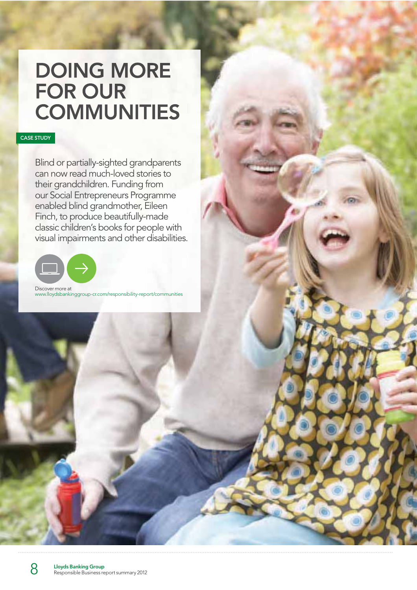# **DOING MORE FOR OUR COMMUNITIES**

#### **CASE STUDY**

Blind or partially-sighted grandparents can now read much-loved stories to their grandchildren. Funding from our Social Entrepreneurs Programme enabled blind grandmother, Eileen Finch, to produce beautifully-made classic children's books for people with visual impairments and other disabilities.



Discover more at www.lloydsbankinggroup-cr.com/responsibility-report/communities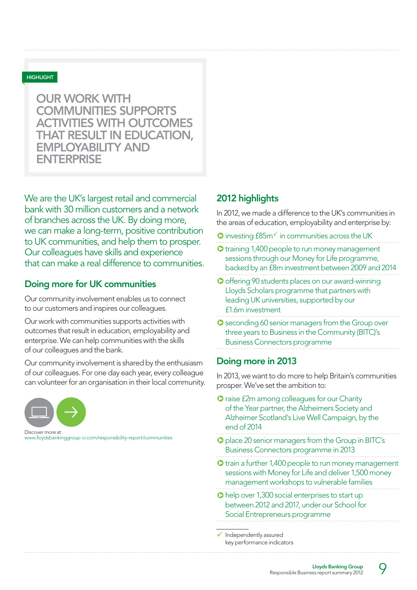**OUR WORK WITH COMMUNITIES SUPPORTS ACTIVITIES WITH OUTCOMES THAT RESULT IN EDUCATION, EMPLOYABILITY AND ENTERPRISE**

We are the UK's largest retail and commercial bank with 30 million customers and a network of branches across the UK. By doing more, we can make a long-term, positive contribution to UK communities, and help them to prosper. Our colleagues have skills and experience that can make a real difference to communities.

### **Doing more for UK communities**

Our community involvement enables us to connect to our customers and inspires our colleagues.

Our work with communities supports activities with outcomes that result in education, employability and enterprise. We can help communities with the skills of our colleagues and the bank.

Our community involvement is shared by the enthusiasm of our colleagues. For one day each year, every colleague can volunteer for an organisation in their local community.



www.lloydsbankinggroup-cr.com/responsibility-report/communities

## **2012 highlights**

In 2012, we made a difference to the UK's communities in the areas of education, employability and enterprise by:

- **O** investing £85m<sup> $\checkmark$ </sup> in communities across the UK
- $\bullet$  training 1,400 people to run money management sessions through our Money for Life programme, backed by an £8m investment between 2009 and 2014
- **O** offering 90 students places on our award-winning Lloyds Scholars programme that partners with leading UK universities, supported by our £1.6m investment
- **O** seconding 60 senior managers from the Group over three years to Business in the Community (BITC)'s Business Connectors programme

### **Doing more in 2013**

In 2013, we want to do more to help Britain's communities prosper. We've set the ambition to:

- **O** raise £2m among colleagues for our Charity of the Year partner, the Alzheimers Society and Alzheimer Scotland's Live Well Campaign, by the end of 2014
- $\bullet$  place 20 senior managers from the Group in BITC's Business Connectors programme in 2013
- $\bullet$  train a further 1,400 people to run money management sessions with Money for Life and deliver 1,500 money management workshops to vulnerable families
- $\bullet$  help over 1,300 social enterprises to start up between 2012 and 2017, under our School for Social Entrepreneurs programme

 $\checkmark$  Independently assured key performance indicators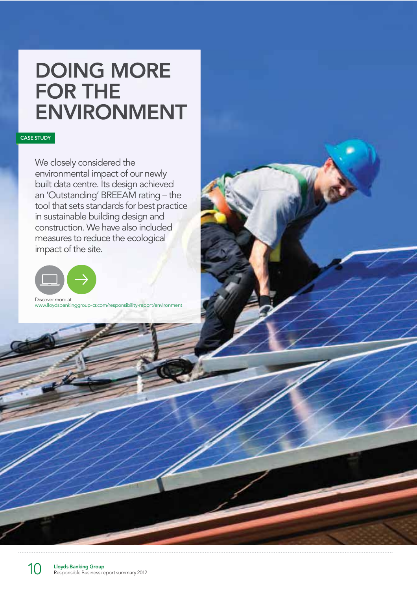# **DOING MORE FOR THE ENVIRONMENT**

#### **CASE STUDY**

We closely considered the environmental impact of our newly built data centre. Its design achieved an 'Outstanding' BREEAM rating – the tool that sets standards for best practice in sustainable building design and construction. We have also included measures to reduce the ecological impact of the site.



www.lloydsbankinggroup-cr.com/responsibility-report/environment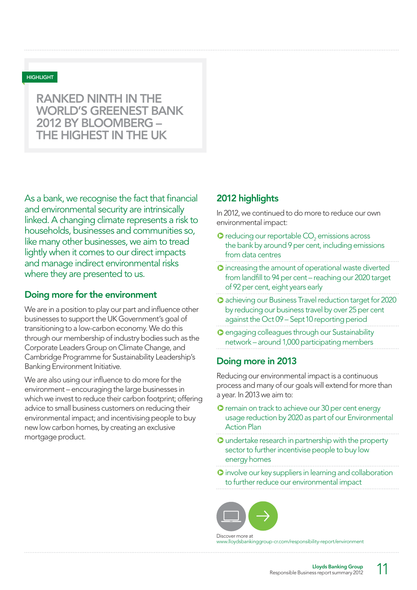# **RANKED NINTH IN THE WORLD'S GREENEST BANK 2012 BY BLOOMBERG – THE HIGHEST IN THE UK**

As a bank, we recognise the fact that financial and environmental security are intrinsically linked. A changing climate represents a risk to households, businesses and communities so, like many other businesses, we aim to tread lightly when it comes to our direct impacts and manage indirect environmental risks where they are presented to us.

#### **Doing more for the environment**

We are in a position to play our part and influence other businesses to support the UK Government's goal of transitioning to a low-carbon economy. We do this through our membership of industry bodies such as the Corporate Leaders Group on Climate Change, and Cambridge Programme for Sustainability Leadership's Banking Environment Initiative.

We are also using our influence to do more for the environment – encouraging the large businesses in which we invest to reduce their carbon footprint; offering advice to small business customers on reducing their environmental impact; and incentivising people to buy new low carbon homes, by creating an exclusive mortgage product.

### **2012 highlights**

In 2012, we continued to do more to reduce our own environmental impact:

- $\bullet$  reducing our reportable  $\mathrm{CO}_2$  emissions across the bank by around 9 per cent, including emissions from data centres
- $\bullet$  increasing the amount of operational waste diverted from landfill to 94 per cent – reaching our 2020 target of 92 per cent, eight years early
- **O** achieving our Business Travel reduction target for 2020 by reducing our business travel by over 25 per cent against the Oct 09 – Sept 10 reporting period
- **O** engaging colleagues through our Sustainability network – around 1,000 participating members

### **Doing more in 2013**

Reducing our environmental impact is a continuous process and many of our goals will extend for more than a year. In 2013 we aim to:

- **O** remain on track to achieve our 30 per cent energy usage reduction by 2020 as part of our Environmental Action Plan
- $\bullet$  undertake research in partnership with the property sector to further incentivise people to buy low energy homes
- **O** involve our key suppliers in learning and collaboration to further reduce our environmental impact

Discover more at www.lloydsbankinggroup-cr.com/responsibility-report/environment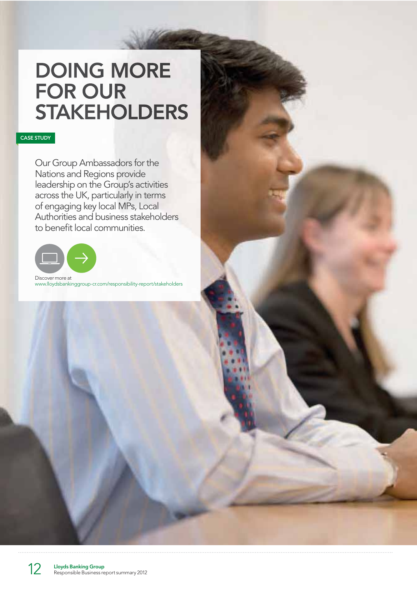# **DOING MORE FOR OUR STAKEHOLDERS**

#### **CASE STUDY**

Our Group Ambassadors for the Nations and Regions provide leadership on the Group's activities across the UK, particularly in terms of engaging key local MPs, Local Authorities and business stakeholders to benefit local communities.



Discover more at www.lloydsbankinggroup-cr.com/responsibility-report/stakeholders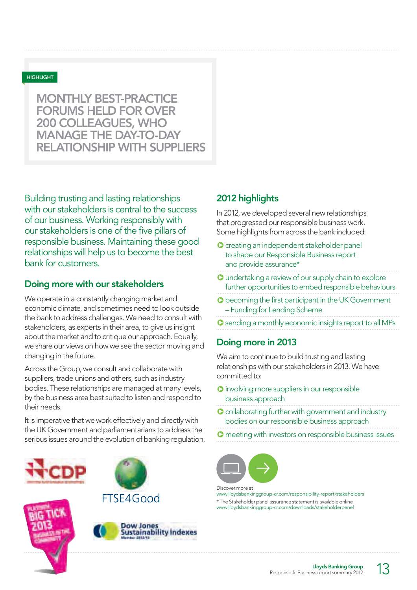**MONTHLY BEST-PRACTICE FORUMS HELD FOR OVER 200 COLLEAGUES, WHO MANAGE THE DAY-TO-DAY RELATIONSHIP WITH SUPPLIERS**

Building trusting and lasting relationships with our stakeholders is central to the success of our business. Working responsibly with our stakeholders is one of the five pillars of responsible business. Maintaining these good relationships will help us to become the best bank for customers.

## **Doing more with our stakeholders**

We operate in a constantly changing market and economic climate, and sometimes need to look outside the bank to address challenges. We need to consult with stakeholders, as experts in their area, to give us insight about the market and to critique our approach. Equally, we share our views on how we see the sector moving and changing in the future.

Across the Group, we consult and collaborate with suppliers, trade unions and others, such as industry bodies. These relationships are managed at many levels, by the business area best suited to listen and respond to their needs.

It is imperative that we work effectively and directly with the UK Government and parliamentarians to address the serious issues around the evolution of banking regulation.







FTSF4Good



## **2012 highlights**

In 2012, we developed several new relationships that progressed our responsible business work. Some highlights from across the bank included:

- **O** creating an independent stakeholder panel to shape our Responsible Business report and provide assurance\*
- **O** undertaking a review of our supply chain to explore further opportunities to embed responsible behaviours
- **C** becoming the first participant in the UK Government – Funding for Lending Scheme
- **O** sending a monthly economic insights report to all MPs

## **Doing more in 2013**

We aim to continue to build trusting and lasting relationships with our stakeholders in 2013. We have committed to:

- **O** involving more suppliers in our responsible business approach
- **O** collaborating further with government and industry bodies on our responsible business approach
- **O** meeting with investors on responsible business issues



#### Discover more at

www.lloydsbankinggroup-cr.com/responsibility-report/stakeholders \* The Stakeholder panel assurance statement is available online www.lloydsbankinggroup-cr.com/downloads/stakeholderpanel